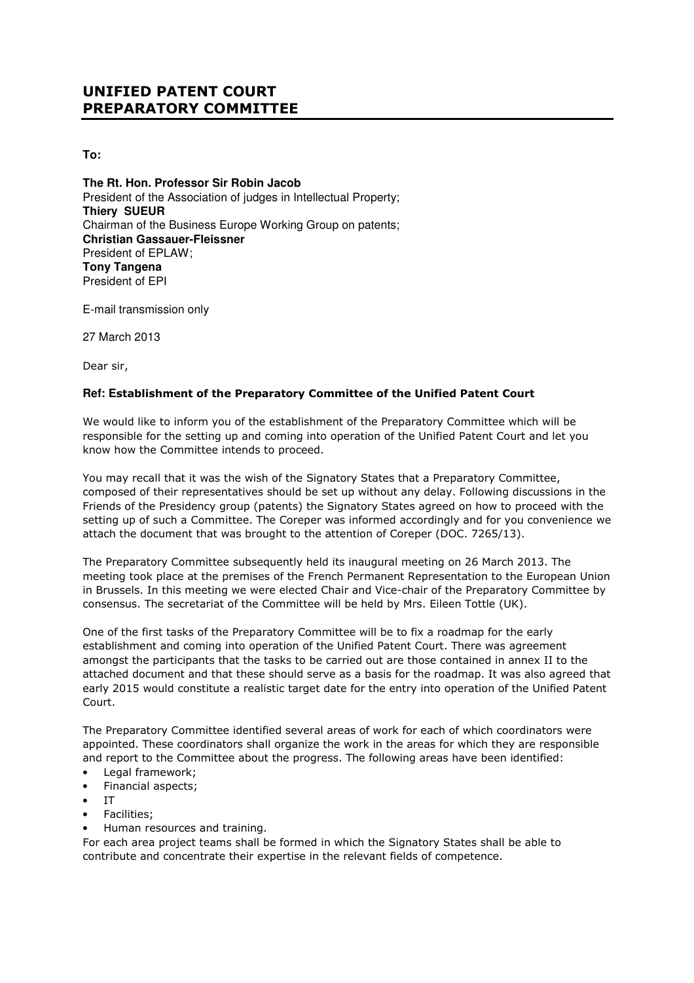## UNIFIED PATENT COURT PREPARATORY COMMITTEE

**To:** 

**The Rt. Hon. Professor Sir Robin Jacob**  President of the Association of judges in Intellectual Property; **Thiery SUEUR** Chairman of the Business Europe Working Group on patents; **Christian Gassauer-Fleissner** President of EPLAW; **Tony Tangena**  President of EPI

E-mail transmission only

27 March 2013

Dear sir,

## **Ref: E**stablishment of the Preparatory Committee of the Unified Patent Court

We would like to inform you of the establishment of the Preparatory Committee which will be responsible for the setting up and coming into operation of the Unified Patent Court and let you know how the Committee intends to proceed.

You may recall that it was the wish of the Signatory States that a Preparatory Committee, composed of their representatives should be set up without any delay. Following discussions in the Friends of the Presidency group (patents) the Signatory States agreed on how to proceed with the setting up of such a Committee. The Coreper was informed accordingly and for you convenience we attach the document that was brought to the attention of Coreper (DOC. 7265/13).

The Preparatory Committee subsequently held its inaugural meeting on 26 March 2013. The meeting took place at the premises of the French Permanent Representation to the European Union in Brussels. In this meeting we were elected Chair and Vice-chair of the Preparatory Committee by consensus. The secretariat of the Committee will be held by Mrs. Eileen Tottle (UK).

One of the first tasks of the Preparatory Committee will be to fix a roadmap for the early establishment and coming into operation of the Unified Patent Court. There was agreement amongst the participants that the tasks to be carried out are those contained in annex II to the attached document and that these should serve as a basis for the roadmap. It was also agreed that early 2015 would constitute a realistic target date for the entry into operation of the Unified Patent Court.

The Preparatory Committee identified several areas of work for each of which coordinators were appointed. These coordinators shall organize the work in the areas for which they are responsible and report to the Committee about the progress. The following areas have been identified:

- Legal framework;
- Financial aspects;
- IT
- Facilities;
- Human resources and training.

For each area project teams shall be formed in which the Signatory States shall be able to contribute and concentrate their expertise in the relevant fields of competence.